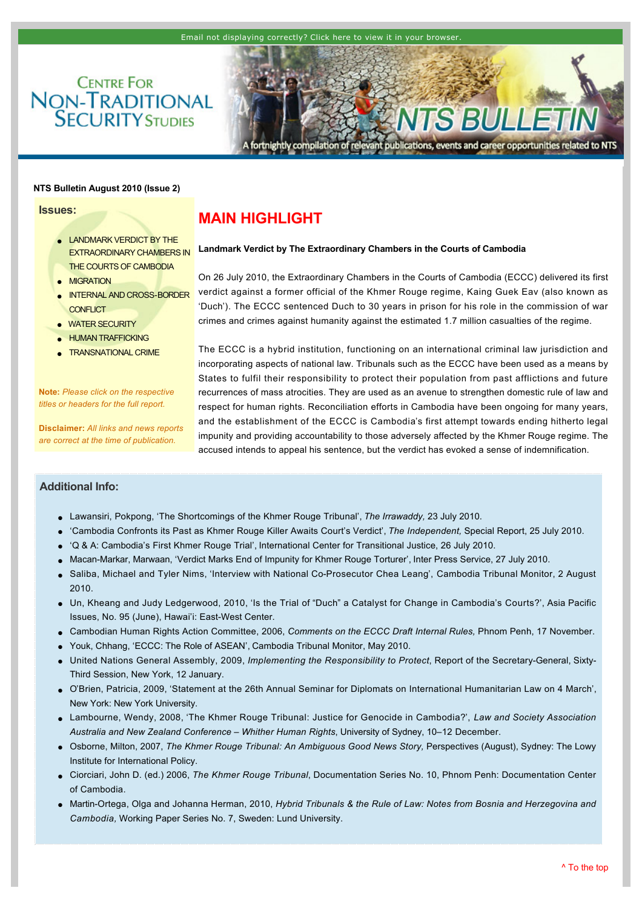**CENTRE FOR NON-TRADITIONAL**<br>**SECURITY** STUDIES



relevant publications, events and career opportunities related to NTS fortnightly compilation of

### **NTS Bulletin August 2010 (Issue 2)**

**Issues:**

- **LANDMARK VERDICT BY THE** [EXTRAORDINARY CHAMBERS IN](http://www.rsis.edu.sg/NTS/HTML-Newsletter/Bulletin/NTS-Bulletin-aug-1002.html#TOP)  THE COURTS OF CAMBODIA
- **[MIGRATION](http://www.rsis.edu.sg/NTS/HTML-Newsletter/Bulletin/NTS-Bulletin-aug-1002.html#MIGRATION)**
- INTERNAL AND CROSS-BORDER **CONFLICT**
- [WATER SECURITY](http://www.rsis.edu.sg/NTS/HTML-Newsletter/Bulletin/NTS-Bulletin-aug-1002.html#WATER)
- **[HUMAN TRAFFICKING](http://www.rsis.edu.sg/NTS/HTML-Newsletter/Bulletin/NTS-Bulletin-aug-1002.html#HUMAN)**
- **[TRANSNATIONAL CRIME](http://www.rsis.edu.sg/NTS/HTML-Newsletter/Bulletin/NTS-Bulletin-aug-1002.html#TRANSNATIONAL)**

**Note:** *Please click on the respective titles or headers for the full report.*

**Disclaimer:** *All links and news reports are correct at the time of publication.*

# <span id="page-0-0"></span>**MAIN HIGHLIGHT**

#### **Landmark Verdict by The Extraordinary Chambers in the Courts of Cambodia**

On 26 July 2010, the Extraordinary Chambers in the Courts of Cambodia (ECCC) delivered its first verdict against a former official of the Khmer Rouge regime, Kaing Guek Eav (also known as 'Duch'). The ECCC sentenced Duch to 30 years in prison for his role in the commission of war crimes and crimes against humanity against the estimated 1.7 million casualties of the regime.

The ECCC is a hybrid institution, functioning on an international criminal law jurisdiction and incorporating aspects of national law. Tribunals such as the ECCC have been used as a means by States to fulfil their responsibility to protect their population from past afflictions and future recurrences of mass atrocities. They are used as an avenue to strengthen domestic rule of law and respect for human rights. Reconciliation efforts in Cambodia have been ongoing for many years, and the establishment of the ECCC is Cambodia's first attempt towards ending hitherto legal impunity and providing accountability to those adversely affected by the Khmer Rouge regime. The accused intends to appeal his sentence, but the verdict has evoked a sense of indemnification.

## **Additional Info:**

- l [Lawansiri, Pokpong, 'The Shortcomings of the Khmer Rouge Tribunal',](http://www.irrawaddy.org/opinion_story.php?art_id=19039) *The Irrawaddy,* 23 July 2010.
- l ['Cambodia Confronts its Past as Khmer Rouge Killer Awaits Court's Verdict',](http://www.independent.co.uk/news/world/asia/cambodia-confronts-its-past-as-khmer-rouge-killer-awaits-courts-verdict-2034987.html) *The Independent,* Special Report, 25 July 2010.
- l ['Q & A: Cambodia's First Khmer Rouge Trial', International Center for Transitional Justice, 26 July 2010.](http://www.ictj.org/en/news/features/3913.html)
- Macan-Markar, Marwaan, 'Verdict Marks End of Impunity for Khmer Rouge Torturer', Inter Press Service, 27 July 2010.
- Saliba, Michael and Tyler Nims, 'Interview with National Co-Prosecutor Chea Leang', Cambodia Tribunal Monitor, 2 August 2010.
- l [Un, Kheang and Judy Ledgerwood, 2010, 'Is the Trial of "Duch"](http://scholarspace.manoa.hawaii.edu/bitstream/10125/16614/1/api095.pdf) a Catalyst for Change in Cambodia's Courts?', Asia Pacific Issues, No. 95 (June), Hawai'i: East-West Center.
- l [Cambodian Human Rights Action Committee, 2006,](http://www.licadho-cambodia.org/reports/files/97CHRACPaperCmmentsECCCInternalRules06.pdf) *Comments on the ECCC Draft Internal Rules,* Phnom Penh, 17 November.
- Youk, Chhang, 'ECCC: The Role of ASEAN', Cambodia Tribunal Monitor, May 2010.
- l United Nations General Assembly, 2009, *[Implementing the Responsibility to Protect](http://www2.ohchr.org/english/bodies/chr/special/docs/17thsession/SG_reportA_63_677_en.pdf)*, Report of the SecretaryGeneral, Sixty-Third Session, New York, 12 January.
- l [O'Brien, Patricia, 2009, 'Statement at the 26th Annual Seminar for Diplomats on International Humanitarian Law on 4 March',](http://untreaty.un.org/ola/media/info_from_lc/annual_seminar.pdf)  New York: New York University.
- l [Lambourne, Wendy, 2008, 'The Khmer Rouge Tribunal: Justice for Genocide in Cambodia?',](http://ses.library.usyd.edu.au/bitstream/2123/4042/1/LSAANZ%20Lambourne%20Cambodia%20conf%20paper%20final.pdf) *Law and Society Association Australia and New Zealand Conference – Whither Human Rights*, University of Sydney, 10–12 December.
- l Osborne, Milton, 2007, *[The Khmer Rouge Tribunal: An Ambiguous Good News Story,](http://www.lowyinstitute.org/Publication.asp?pid=658)* Perspectives (August), Sydney: The Lowy Institute for International Policy.
- l Ciorciari, John D. (ed.) 2006, *The Khmer Rouge Tribunal*[, Documentation Series No. 10, Phnom Penh: Documentation Center](http://citeseerx.ist.psu.edu/viewdoc/download?doi=10.1.1.139.3371&rep=rep1&type=pdf)  of Cambodia.
- Martin-Ortega, Olga and Johanna Herman, 2010, *Hybrid Tribunals & the Rule of Law: Notes from Bosnia and Herzegovina and Cambodia,* Working Paper Series No. 7, Sweden: Lund University.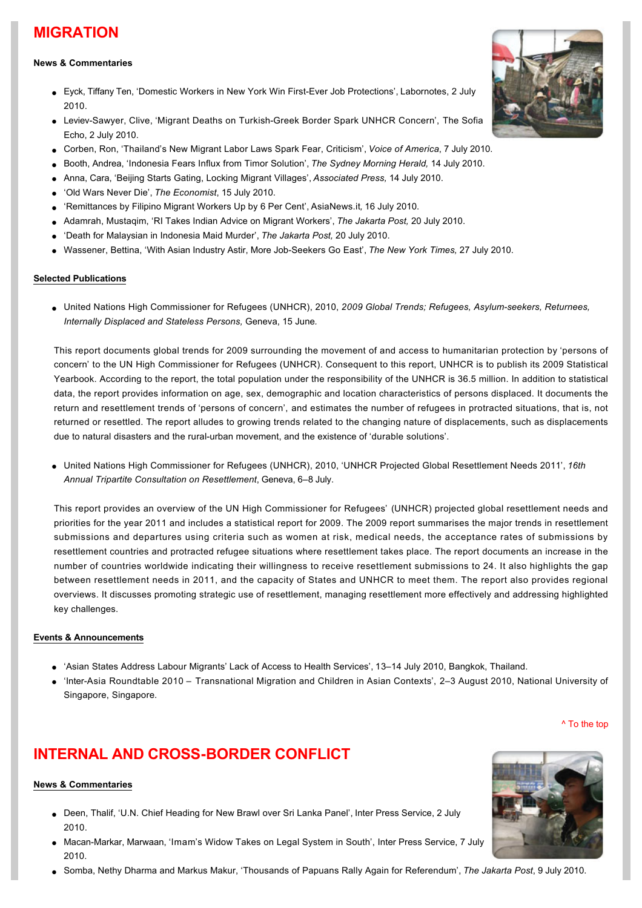# **MIGRATION**

## **News & Commentaries**

- l [Eyck, Tiffany Ten, 'Domestic Workers in New York Win FirstEver Job Protections', Labornotes, 2 July](http://labornotes.org/2010/07/domestic-workers-close-winning-job-protections-new-york-state)  2010.
- **Leviev-Sawyer, Clive, 'Migrant Deaths on Turkish-Greek Border Spark UNHCR Concern', The Sofia** Echo, 2 July 2010.
- l [Corben, Ron, 'Thailand's New Migrant Labor Laws Spark Fear, Criticism',](http://www1.voanews.com/english/news/asia/Thailands-New-Migrant-Labor-Laws-Bring-Fear-Criticism-97928554.html) *Voice of America*, 7 July 2010.
- l [Booth, Andrea, 'Indonesia Fears Influx from Timor Solution',](http://www.smh.com.au/opinion/politics/indonesia-fears-influx-from-timor-solution-20100714-10ahb.html) *The Sydney Morning Herald,* 14 July 2010.
- l [Anna, Cara, 'Beijing Starts Gating, Locking Migrant Villages',](http://www.wtop.com/?nid=105&sid=2002633) *Associated Press,* 14 July 2010.
- l ['Old Wars Never Die',](http://www.economist.com/node/16592276) *The Economist*, 15 July 2010.
- l ['Remittances by Filipino Migrant Workers Up by 6 Per Cent', AsiaNews.it](http://www.asianews.it/news-en/Remittances-by-Filipino-migrant-workers-up-by-6-per-cent-18956.html)*,* 16 July 2010.
- l [Adamrah, Mustaqim, 'RI Takes Indian Advice on Migrant Workers',](http://www.thejakartapost.com/news/2010/07/20/ri-takes-indian-advice-migrant-workers.html) *The Jakarta Post,* 20 July 2010.
- l ['Death for Malaysian in Indonesia Maid Murder',](http://www.thejakartapost.com/news/2010/07/20/death-malaysian-indonesia-maid-murder.html) *The Jakarta Post,* 20 July 2010.
- l [Wassener, Bettina, 'With Asian Industry Astir, More JobSeekers Go East',](http://www.nytimes.com/2010/07/28/business/global/28jobs.html?partner=rss&emc=rss) *The New York Times,* 27 July 2010.

## **Selected Publications**

l [United Nations High Commissioner for Refugees \(UNHCR\), 2010,](http://www.unhcr.org/4c11f0be9.pdf) *2009 Global Trends; Refugees, Asylumseekers, Returnees, Internally Displaced and Stateless Persons,* Geneva, 15 June*.*

This report documents global trends for 2009 surrounding the movement of and access to humanitarian protection by 'persons of concern' to the UN High Commissioner for Refugees (UNHCR). Consequent to this report, UNHCR is to publish its 2009 Statistical Yearbook. According to the report, the total population under the responsibility of the UNHCR is 36.5 million. In addition to statistical data, the report provides information on age, sex, demographic and location characteristics of persons displaced. It documents the return and resettlement trends of 'persons of concern', and estimates the number of refugees in protracted situations, that is, not returned or resettled. The report alludes to growing trends related to the changing nature of displacements, such as displacements due to natural disasters and the rural-urban movement, and the existence of 'durable solutions'.

l [United Nations High Commissioner for Refugees \(UNHCR\), 2010, 'UNHCR Projected Global Resettlement Needs 2011',](http://www.unhcr.org/4c31e3716.pdf) *16th Annual Tripartite Consultation on Resettlement*, Geneva, 6–8 July.

This report provides an overview of the UN High Commissioner for Refugees' (UNHCR) projected global resettlement needs and priorities for the year 2011 and includes a statistical report for 2009. The 2009 report summarises the major trends in resettlement submissions and departures using criteria such as women at risk, medical needs, the acceptance rates of submissions by resettlement countries and protracted refugee situations where resettlement takes place. The report documents an increase in the number of countries worldwide indicating their willingness to receive resettlement submissions to 24. It also highlights the gap between resettlement needs in 2011, and the capacity of States and UNHCR to meet them. The report also provides regional overviews. It discusses promoting strategic use of resettlement, managing resettlement more effectively and addressing highlighted key challenges.

### **Events & Announcements**

- l 'Asian States Address Labour Migrants' [Lack of Access to Health Services', 13–14 July 2010, Bangkok, Thailand.](http://www.iom.int/jahia/Jahia/media/press-briefing-notes/pbnAS/cache/offonce?entryId=27981)
- l 'InterAsia Roundtable 2010 [Transnational Migration and Children in Asian Contexts', 2–3 August 2010, National University of](http://www.ari.nus.edu.sg/events_categorydetails.asp?categoryid=6&eventid=1036)  Singapore, Singapore.

[^ To the top](#page-0-0)

# **INTERNAL AND CROSS-BORDER CONFLICT**

### **News & Commentaries**

- l [Deen, Thalif, 'U.N. Chief Heading for New Brawl over Sri Lanka Panel', Inter Press Service, 2 July](http://ipsnews.net/news.asp?idnews=52038)  2010.
- Macan-Markar, Marwaan, 'Imam's Widow Takes on Legal System in South', Inter Press Service, 7 July 2010.
- l [Somba, Nethy Dharma and Markus Makur, 'Thousands of Papuans Rally Again for Referendum',](http://www.thejakartapost.com/news/2010/07/09/thousands-papuans-rally-again-referendum.html) *The Jakarta Post*, 9 July 2010.



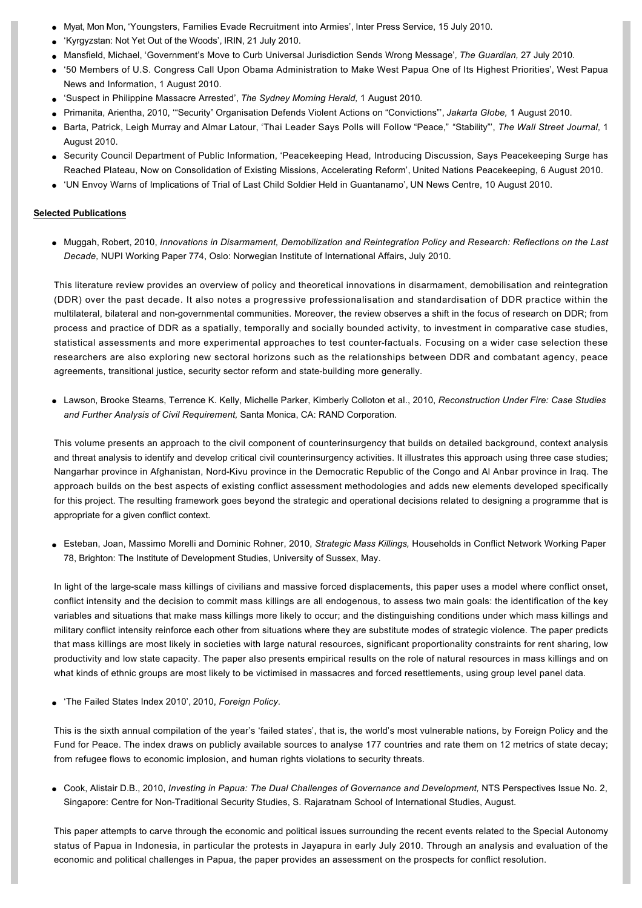- [Myat, Mon Mon, 'Youngsters, Families Evade Recruitment into Armies', Inter Press Service, 15 July 2010.](http://ipsnews.net/news.asp?idnews=52177)
- 'Kyrgyzstan: Not Yet Out of the Woods', IRIN, 21 July 2010.
- l [Mansfield, Michael, 'Government's Move to Curb Universal Jurisdiction Sends Wrong Message'](http://www.guardian.co.uk/law/2010/jul/27/universal-jurisdiction-law)*, The Guardian,* 27 July 2010.
- l ['50 Members of U.S. Congress Call Upon Obama Administration to Make West Papua One of Its Highest Priorities', West Papua](http://www.infopapua.org/artman/publish/article_2265.shtml)  News and Information, 1 August 2010.
- l ['Suspect in Philippine Massacre Arrested',](http://news.smh.com.au/breaking-news-world/suspect-in-philippine-massacre-arrested-20100801-1119m.html) *The Sydney Morning Herald,* 1 August 2010*.*
- l Primanita, Arientha, 2010, '"Security" [Organisation Defends Violent Actions on "Convictions"',](http://www.thejakartaglobe.com/news/security-organization-defends-violent-actions-on-convictions/388910) *Jakarta Globe,* 1 August 2010.
- l [Barta, Patrick, Leigh Murray and Almar Latour, 'Thai Leader Says Polls will Follow "Peace," "Stability"',](http://online.wsj.com/article/SB10001424052748704271804575405152394878966.html?mod=rss_asia_whats_news) *The Wall Street Journal,* 1 August 2010.
- Security Council Department of Public Information, 'Peacekeeping Head, Introducing Discussion, Says Peacekeeping Surge has Reached Plateau, Now on Consolidation of Existing Missions, Accelerating Reform', United Nations Peacekeeping, 6 August 2010.
- l ['UN Envoy Warns of Implications of Trial of Last Child Soldier Held in Guantanamo', UN News Centre, 10 August 2010.](http://www.un.org/apps/news/story.asp?NewsID=35574&Cr=child+soldier&Cr1=)

#### **Selected Publications**

l Muggah, Robert, 2010, *[Innovations in Disarmament, Demobilization and Reintegration Policy and Research: Reflections on the Last](http://english.nupi.no/Publications/Working-Papers/2010/Innovations-in-disarmament-demobilization-and-reintegration-policy-and-research)  Decade,* NUPI Working Paper 774, Oslo: Norwegian Institute of International Affairs, July 2010.

This literature review provides an overview of policy and theoretical innovations in disarmament, demobilisation and reintegration (DDR) over the past decade. It also notes a progressive professionalisation and standardisation of DDR practice within the multilateral, bilateral and nongovernmental communities. Moreover, the review observes a shift in the focus of research on DDR; from process and practice of DDR as a spatially, temporally and socially bounded activity, to investment in comparative case studies, statistical assessments and more experimental approaches to test counterfactuals. Focusing on a wider case selection these researchers are also exploring new sectoral horizons such as the relationships between DDR and combatant agency, peace agreements, transitional justice, security sector reform and state-building more generally.

l [Lawson, Brooke Stearns, Terrence K. Kelly, Michelle Parker, Kimberly Colloton et al., 2010,](http://rand.org/pubs/monographs/2010/RAND_MG870.1.pdf) *Reconstruction Under Fire: Case Studies and Further Analysis of Civil Requirement,* Santa Monica, CA: RAND Corporation.

This volume presents an approach to the civil component of counterinsurgency that builds on detailed background, context analysis and threat analysis to identify and develop critical civil counterinsurgency activities. It illustrates this approach using three case studies; Nangarhar province in Afghanistan, Nord-Kivu province in the Democratic Republic of the Congo and Al Anbar province in Iraq. The approach builds on the best aspects of existing conflict assessment methodologies and adds new elements developed specifically for this project. The resulting framework goes beyond the strategic and operational decisions related to designing a programme that is appropriate for a given conflict context.

l Esteban, Joan, Massimo Morelli and Dominic Rohner, 2010, *Strategic Mass Killings,* Households in Conflict Network Working Paper [78, Brighton: The Institute of Development Studies, University of Sussex, May.](http://www.humansecuritygateway.com/documents/HICN_StrategicMassKillings.pdf)

In light of the large-scale mass killings of civilians and massive forced displacements, this paper uses a model where conflict onset, conflict intensity and the decision to commit mass killings are all endogenous, to assess two main goals: the identification of the key variables and situations that make mass killings more likely to occur; and the distinguishing conditions under which mass killings and military conflict intensity reinforce each other from situations where they are substitute modes of strategic violence. The paper predicts that mass killings are most likely in societies with large natural resources, significant proportionality constraints for rent sharing, low productivity and low state capacity. The paper also presents empirical results on the role of natural resources in mass killings and on what kinds of ethnic groups are most likely to be victimised in massacres and forced resettlements, using group level panel data.

l ['The Failed States Index 2010', 2010,](http://www.foreignpolicy.com/articles/2010/06/21/the_failed_states_index_2010) *Foreign Policy*.

This is the sixth annual compilation of the year's 'failed states', that is, the world's most vulnerable nations, by Foreign Policy and the Fund for Peace. The index draws on publicly available sources to analyse 177 countries and rate them on 12 metrics of state decay; from refugee flows to economic implosion, and human rights violations to security threats.

l Cook, Alistair D.B., 2010, *Investing in Papua: The Dual Challenges of Governance and Development,* NTS Perspectives Issue No. 2, Singapore: Centre for Non-Traditional Security Studies, S. Rajaratnam School of International Studies, August.

This paper attempts to carve through the economic and political issues surrounding the recent events related to the Special Autonomy status of Papua in Indonesia, in particular the protests in Jayapura in early July 2010. Through an analysis and evaluation of the economic and political challenges in Papua, the paper provides an assessment on the prospects for conflict resolution.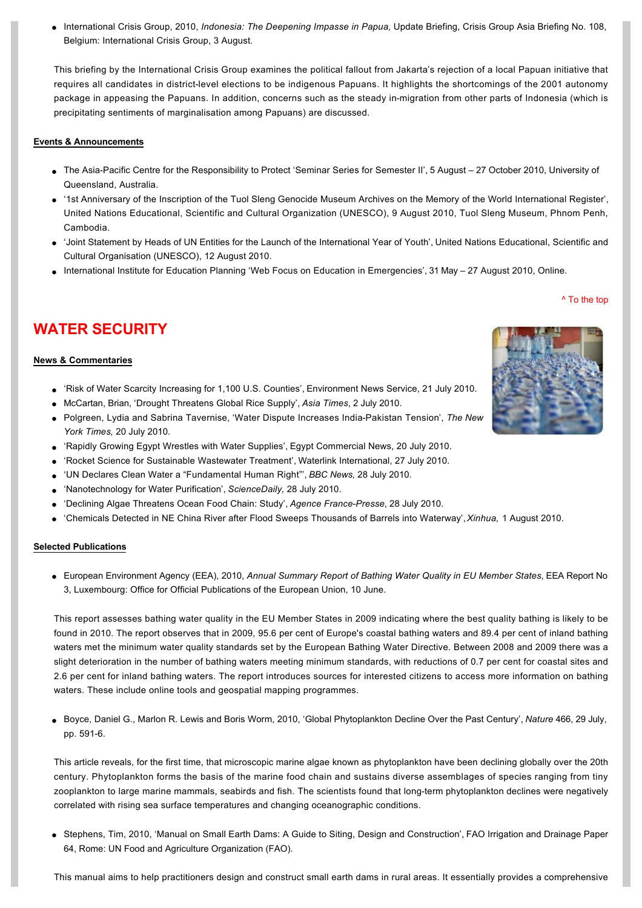l [International Crisis Group, 2010,](http://www.crisisgroup.org/en/regions/asia/south-east-asia/indonesia/B108-indonesia-the-deepening-impasse-in-papua.aspx) *[Indonesia: The Deepening Impasse in Papua,](http://www.crisisgroup.org/en/regions/asia/south-east-asia/indonesia/B108-indonesia-the-deepening-impasse-in-papua.aspx)* [Update Briefing, Crisis Group Asia Briefing No. 108,](http://www.crisisgroup.org/en/regions/asia/south-east-asia/indonesia/B108-indonesia-the-deepening-impasse-in-papua.aspx)  Belgium: International Crisis Group, 3 August.

This briefing by the International Crisis Group examines the political fallout from Jakarta's rejection of a local Papuan initiative that requires all candidates in districtlevel elections to be indigenous Papuans. It highlights the shortcomings of the 2001 autonomy package in appeasing the Papuans. In addition, concerns such as the steady in-migration from other parts of Indonesia (which is precipitating sentiments of marginalisation among Papuans) are discussed.

### **Events & Announcements**

- The Asia-Pacific Centre for the Responsibility to Protect 'Seminar Series for Semester II', 5 August 27 October 2010, University of Queensland, Australia.
- l ['1st Anniversary of the Inscription of the Tuol Sleng Genocide Museum Archives on the Memory of the World International Register',](http://www.unesco.org/new/en/unesco/events/all-events/showUid/1951/)  United Nations Educational, Scientific and Cultural Organization (UNESCO), 9 August 2010, Tuol Sleng Museum, Phnom Penh, Cambodia.
- l ['Joint Statement by Heads of UN Entities for the Launch of the International Year of Youth', United Nations Educational, Scientific and](http://www.unesco.org/new/en/social-and-human-sciences/themes/sv/news/the_international_year_of_youth_2010_2011/)  Cultural Organisation (UNESCO), 12 August 2010.
- International Institute for Education Planning 'Web Focus on Education in Emergencies', 31 May 27 August 2010, Online.

#### [^ To the top](#page-0-0)

# **WATER SECURITY**

### **News & Commentaries**

- l ['Risk of Water Scarcity Increasing for 1,100 U.S. Counties', Environment News Service, 21 July 2010.](http://www.ens-newswire.com/ens/jul2010/2010-07-21-092.html)
- l [McCartan, Brian, 'Drought Threatens Global Rice Supply',](http://www.atimes.com/atimes/Southeast_Asia/LG02Ae01.html) *Asia Times*, 2 July 2010.
- l [Polgreen, Lydia and Sabrina Tavernise, 'Water Dispute Increases IndiaPakistan Tension',](http://www.nytimes.com/2010/07/21/world/asia/21kashmir.html) *The New York Times,* 20 July 2010.
- ['Rapidly Growing Egypt Wrestles with Water Supplies', Egypt Commercial News, 20 July 2010.](http://www.egyptcmnews.com/story-z530064)
- l ['Rocket Science for Sustainable Wastewater Treatment', Waterlink International, 27 July 2010.](http://www.waterlink-international.com/news/id1278-Rocket_Science_for_Sustainable_Wastewater_Treatment.html)
- l ['UN Declares Clean Water a "Fundamental Human Right"',](http://www.bbc.co.uk/news/world-us-canada-10797988) *BBC News,* 28 July 2010.
- l ['Nanotechnology for Water Purification',](http://www.sciencedaily.com/releases/2010/07/100728111711.htm) *ScienceDaily,* 28 July 2010.
- l ['Declining Algae Threatens Ocean Food Chain: Study',](http://www.terradaily.com/reports/Declining_algae_threatens_ocean_food_chain_study_999.html) *Agence FrancePresse*, 28 July 2010.
- l ['Chemicals Detected in NE China River after Flood Sweeps Thousands of Barrels into Waterway',](http://news.xinhuanet.com/english2010/china/2010-08/01/c_13424885.htm) *Xinhua,* 1 August 2010.

### **Selected Publications**

l European Environment Agency (EEA), 2010, *Annual Summary Report of Bathing Water Quality in EU Member States*, EEA Report No [3, Luxembourg: Office for Official Publications of the European Union, 10 June.](http://www.eea.europa.eu/publications/quality-of-bathing-water-2009-bathing-season)

This report assesses bathing water quality in the EU Member States in 2009 indicating where the best quality bathing is likely to be found in 2010. The report observes that in 2009, 95.6 per cent of Europe's coastal bathing waters and 89.4 per cent of inland bathing waters met the minimum water quality standards set by the European Bathing Water Directive. Between 2008 and 2009 there was a slight deterioration in the number of bathing waters meeting minimum standards, with reductions of 0.7 per cent for coastal sites and 2.6 per cent for inland bathing waters. The report introduces sources for interested citizens to access more information on bathing waters. These include online tools and geospatial mapping programmes.

l [Boyce, Daniel G., Marlon R. Lewis and Boris Worm, 2010, 'Global Phytoplankton Decline Over the Past Century',](http://www.nature.com/nature/journal/v466/n7306/full/nature09268.html) *Nature* 466, 29 July, pp. 591-6.

This article reveals, for the first time, that microscopic marine algae known as phytoplankton have been declining globally over the 20th century. Phytoplankton forms the basis of the marine food chain and sustains diverse assemblages of species ranging from tiny zooplankton to large marine mammals, seabirds and fish. The scientists found that long-term phytoplankton declines were negatively correlated with rising sea surface temperatures and changing oceanographic conditions.

l [Stephens, Tim, 2010, 'Manual on Small Earth Dams: A Guide to Siting, Design and Construction', FAO Irrigation and Drainage Paper](http://www.fao.org/docrep/012/i1531e/i1531e00.pdf)  64, Rome: UN Food and Agriculture Organization (FAO).

This manual aims to help practitioners design and construct small earth dams in rural areas. It essentially provides a comprehensive

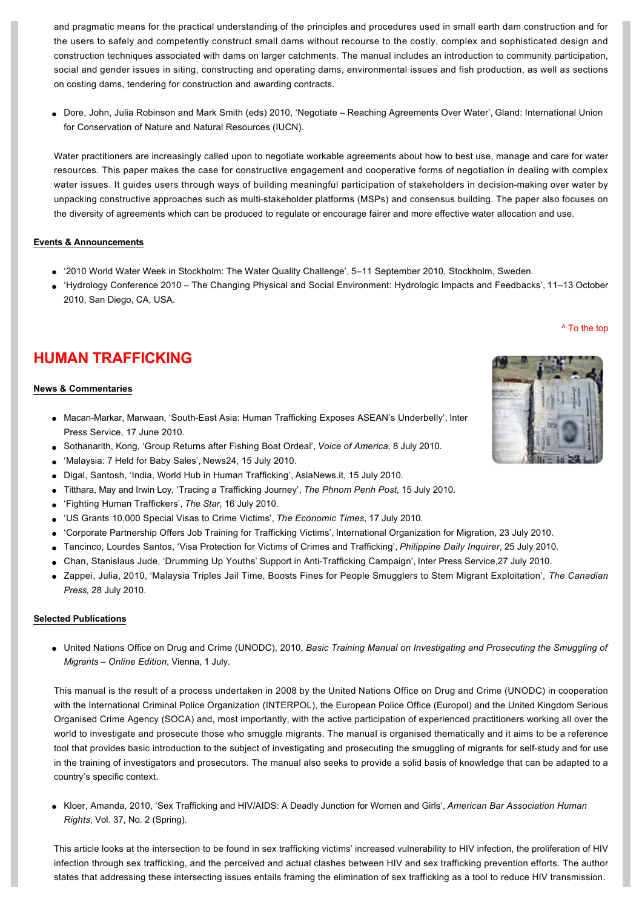and pragmatic means for the practical understanding of the principles and procedures used in small earth dam construction and for the users to safely and competently construct small dams without recourse to the costly, complex and sophisticated design and construction techniques associated with dams on larger catchments. The manual includes an introduction to community participation, social and gender issues in siting, constructing and operating dams, environmental issues and fish production, as well as sections on costing dams, tendering for construction and awarding contracts.

l [Dore, John, Julia Robinson and Mark Smith \(eds\) 2010, 'Negotiate –](http://data.iucn.org/dbtw-wpd/edocs/2010-006.pdf) Reaching Agreements Over Water', Gland: International Union for Conservation of Nature and Natural Resources (IUCN).

Water practitioners are increasingly called upon to negotiate workable agreements about how to best use, manage and care for water resources. This paper makes the case for constructive engagement and cooperative forms of negotiation in dealing with complex water issues. It guides users through ways of building meaningful participation of stakeholders in decision-making over water by unpacking constructive approaches such as multi-stakeholder platforms (MSPs) and consensus building. The paper also focuses on the diversity of agreements which can be produced to regulate or encourage fairer and more effective water allocation and use.

### **Events & Announcements**

- l '[2010 World Water Week in Stockholm: The Water Quality Challenge', 5–11 September 2010, Stockholm, Sweden.](http://www.worldwaterweek.org/sa/site.asp?site=460)
- l 'Hydrology Conference 2010 [The Changing Physical and Social Environment: Hydrologic Impacts and Feedbacks', 11–13 October](http://www.hydrologyconference.com/)  2010, San Diego, CA, USA.

# **HUMAN TRAFFICKING**

### **News & Commentaries**

- $\bullet$  Macan-Markar, Marwaan, 'South-East Asia: Human Trafficking Exposes ASEAN's Underbelly', Inter Press Service, 17 June 2010.
- l [Sothanarith, Kong, 'Group Returns after Fishing Boat Ordeal',](http://www1.voanews.com/khmer-english/news/Group-Returns-After-Fishing-Boat-Ordeal-98028079.html) *Voice of America,* 8 July 2010.
- l ['Malaysia: 7 Held for Baby Sales', News24, 15 July 2010.](http://www.news24.com/World/News/Malaysia-7-held-for-baby-sales-20100715)
- l [Digal, Santosh, 'India, World Hub in Human Trafficking', AsiaNews.it, 15 July 2010.](http://www.asianews.it/news-en/India,-world-hub-in-human-trafficking-18947.html)
- l [Titthara, May and Irwin Loy, 'Tracing a Trafficking Journey',](http://www.phnompenhpost.com/index.php/2010071540491/National-news/tracing-a-trafficking-journey.html) *The Phnom Penh Post*, 15 July 2010.
- l ['Fighting Human Traffickers',](http://thestar.com.my/news/story.asp?file=/2010/7/16/parliament/6675697&sec=parliament) *The Star*, 16 July 2010.
- l ['US Grants 10,000 Special Visas to Crime Victims',](http://economictimes.indiatimes.com/news/news-by-industry/services/travel/visa-power/US-grants-10000-special-visas-to-crime-victims/articleshow/6174741.cms) *The Economic Times*, 17 July 2010.
- l ['Corporate Partnership Offers Job Training for Trafficking Victims', International Organization for Migration, 23 July 2010.](http://www.iom.int/jahia/Jahia/media/press-briefing-notes/pbnAS/cache/offonce;jsessionid=1498652B4D925DB2176015D1441778AA.worker01?entryId=28049)
- l [Tancinco, Lourdes Santos, 'Visa Protection for Victims of Crimes and Trafficking',](http://globalnation.inquirer.net/viewpoints/viewpoints/view/20100725-283036/Visa-protection-for-victims-of-crimes-and-trafficking) *Philippine Daily Inquirer*, 25 July 2010.
- Chan, Stanislaus Jude, 'Drumming Up Youths' Support in Anti-Trafficking Campaign', Inter Press Service, 27 July 2010.
- l [Zappei, Julia, 2010, 'Malaysia Triples Jail Time, Boosts Fines for People Smugglers to Stem Migrant Exploitation',](http://www.google.com/hostednews/canadianpress/article/ALeqM5h9C3irIxmRwgkUJPLwjJhSxXG3-w) *The Canadian Press,* 28 July 2010.

### **Selected Publications**

l United Nations Office on Drug and Crime (UNODC), 2010, *[Basic Training Manual on Investigating and Prosecuting the Smuggling of](http://www.unodc.org/unodc/en/human-trafficking/electronic-basic-training-manual-on-investigating-and-prosecuting-smuggling-of-migrants.html)  Migrants – Online Edition*, Vienna, 1 July.

This manual is the result of a process undertaken in 2008 by the United Nations Office on Drug and Crime (UNODC) in cooperation with the International Criminal Police Organization (INTERPOL), the European Police Office (Europol) and the United Kingdom Serious Organised Crime Agency (SOCA) and, most importantly, with the active participation of experienced practitioners working all over the world to investigate and prosecute those who smuggle migrants. The manual is organised thematically and it aims to be a reference tool that provides basic introduction to the subject of investigating and prosecuting the smuggling of migrants for self-study and for use in the training of investigators and prosecutors. The manual also seeks to provide a solid basis of knowledge that can be adapted to a country's specific context.

l [Kloer, Amanda, 2010, 'Sex Trafficking and HIV/AIDS: A Deadly Junction for Women and Girls',](http://www.abanet.org/irr/hr/spring10/kloer.htm) *American Bar Association Human Rights*, Vol. 37, No. 2 (Spring).

This article looks at the intersection to be found in sex trafficking victims' increased vulnerability to HIV infection, the proliferation of HIV infection through sex trafficking, and the perceived and actual clashes between HIV and sex trafficking prevention efforts. The author states that addressing these intersecting issues entails framing the elimination of sex trafficking as a tool to reduce HIV transmission.



[^ To the top](#page-0-0)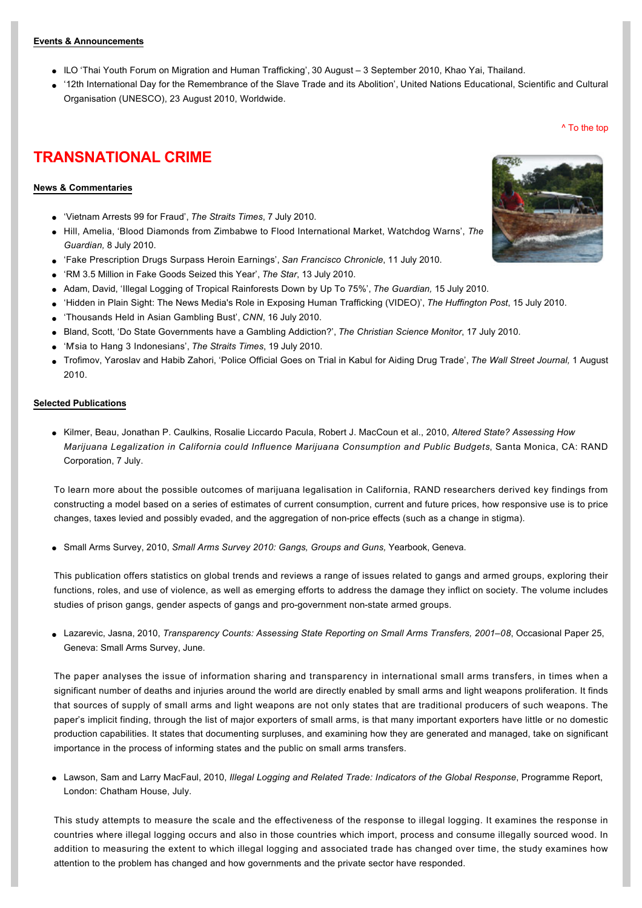#### **Events & Announcements**

- [ILO 'Thai Youth Forum on Migration and Human Trafficking', 30 August –](http://www.ilo.int/asia/whatwedo/events/lang--en/docName--WCMS_143018/index.htm) 3 September 2010, Khao Yai, Thailand.
- l ['12th International Day for the Remembrance of the Slave Trade and its Abolition', United Nations Educational, Scientific and Cultural](http://www.unesco.org/new/en/unesco/events/public-events/showUid/1321/)  Organisation (UNESCO), 23 August 2010, Worldwide.

[^ To the top](#page-0-0)

# **TRANSNATIONAL CRIME**

# **News & Commentaries**

- l ['Vietnam Arrests 99 for Fraud',](http://www.straitstimes.com/BreakingNews/SEAsia/Story/STIStory_550701.html) *The Straits Times*, 7 July 2010.
- l [Hill, Amelia, 'Blood Diamonds from Zimbabwe to Flood International Market, Watchdog Warns',](http://www.guardian.co.uk/world/2010/jul/08/zimbambwe-blood-diamonds-abuse) *The Guardian,* 8 July 2010.
- l ['Fake Prescription Drugs Surpass Heroin Earnings',](http://www.sfgate.com/cgi-bin/article.cgi?f=/c/a/2010/07/10/BU1I1EC530.DTL) *San Francisco Chronicle*, 11 July 2010.
- l ['RM 3.5 Million in Fake Goods Seized this Year',](http://thestar.com.my/news/story.asp?file=/2010/7/13/nation/6655042&sec=nation) *The Star*, 13 July 2010.
- l [Adam, David, 'Illegal Logging of Tropical Rainforests Down by Up To 75%',](http://www.guardian.co.uk/environment/2010/jul/15/illegal-logging-decline) *The Guardian,* 15 July 2010.
- l ['Hidden in Plain Sight: The News Media's Role in Exposing Human Trafficking \(VIDEO\)',](http://www.huffingtonpost.com/schuster-institute-for-investigative-journalism/hidden-in-plain-sight-the_b_648456.html) *The Huffington Post*, 15 July 2010.
- l ['Thousands Held in Asian Gambling Bust',](http://edition.cnn.com/2010/SPORT/07/16/world.cup.gambling.bust/index.html#fbid=BiGy2QWUKAA) *CNN*, 16 July 2010.
- l [Bland, Scott, 'Do State Governments have a Gambling Addiction?',](http://www.csmonitor.com/USA/Politics/2010/0717/Do-state-governments-have-a-gambling-addiction) *The Christian Science Monitor*, 17 July 2010.
- l ['M'sia to Hang 3 Indonesians',](http://www.straitstimes.com/BreakingNews/SEAsia/Story/STIStory_555259.html) *The Straits Times*, 19 July 2010.
- l [Trofimov, Yaroslav and Habib Zahori, 'Police Official Goes on Trial in Kabul for Aiding Drug Trade',](http://online.wsj.com/article/SB10001424052748704905004575405340979599502.html?mod=rss_asia_whats_news) *The Wall Street Journal,* 1 August 2010.

#### **Selected Publications**

l Kilmer, Beau, Jonathan P. Caulkins, Rosalie Liccardo Pacula, Robert J. MacCoun et al., 2010, *Altered State? Assessing How [Marijuana Legalization in California could Influence Marijuana Consumption and Public Budgets](http://rand.org/pubs/occasional_papers/2010/RAND_OP315.pdf)*, Santa Monica, CA: RAND Corporation, 7 July.

To learn more about the possible outcomes of marijuana legalisation in California, RAND researchers derived key findings from constructing a model based on a series of estimates of current consumption, current and future prices, how responsive use is to price changes, taxes levied and possibly evaded, and the aggregation of non-price effects (such as a change in stigma).

l Small Arms Survey, 2010, *[Small Arms Survey 2010: Gangs, Groups and Guns,](http://www.smallarmssurvey.org/files/sas/publications/yearb2010.html)* Yearbook, Geneva.

This publication offers statistics on global trends and reviews a range of issues related to gangs and armed groups, exploring their functions, roles, and use of violence, as well as emerging efforts to address the damage they inflict on society. The volume includes studies of prison gangs, gender aspects of gangs and pro-government non-state armed groups.

**Lazarevic, Jasna, 2010,** *[Transparency Counts: Assessing State Reporting on Small Arms Transfers, 2001–08](http://www.smallarmssurvey.org/files/sas/publications/o_papers_pdf/2010-op25-Barometer.pdf)***, Occasional Paper 25,** Geneva: Small Arms Survey, June.

The paper analyses the issue of information sharing and transparency in international small arms transfers, in times when a significant number of deaths and injuries around the world are directly enabled by small arms and light weapons proliferation. It finds that sources of supply of small arms and light weapons are not only states that are traditional producers of such weapons. The paper's implicit finding, through the list of major exporters of small arms, is that many important exporters have little or no domestic production capabilities. It states that documenting surpluses, and examining how they are generated and managed, take on significant importance in the process of informing states and the public on small arms transfers.

**Lawson, Sam and Larry MacFaul, 2010,** *[Illegal Logging and Related Trade: Indicators of the Global Response](http://www.chathamhouse.org.uk/files/16950_0710pr_illegallogging.pdf)***, Programme Report,** London: Chatham House, July.

This study attempts to measure the scale and the effectiveness of the response to illegal logging. It examines the response in countries where illegal logging occurs and also in those countries which import, process and consume illegally sourced wood. In addition to measuring the extent to which illegal logging and associated trade has changed over time, the study examines how attention to the problem has changed and how governments and the private sector have responded.